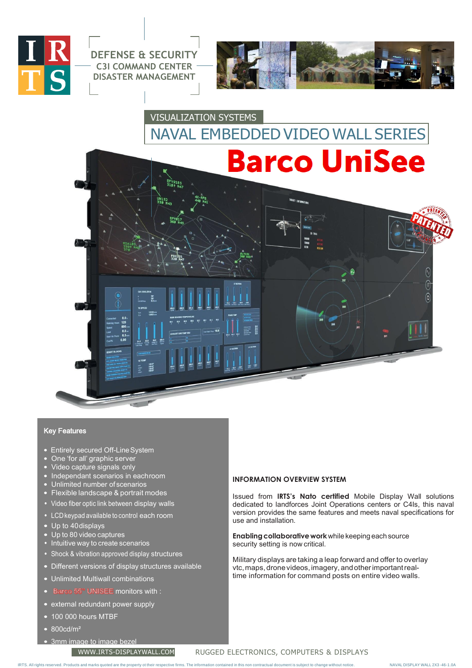

**DEFENSE & SECURITY C3I COMMAND CENTER DISASTER MANAGEMENT**



# VISUALIZATION SYSTEMS NAVAL EMBEDDED VIDEO WALL SERIES



### Key Features

- Entirely secured Off-Line System
- One 'for all' graphic server
- Video capture signals only
- Independant scenarios in eachroom
- Unlimited number of scenarios
- Flexible landscape & portrait modes
- Video fiber optic link between display walls
- LCDkeypad available to control each room
- Up to 40displays
- Up to 80 video captures
- Intuitive way to create scenarios
- Shock & vibration approved display structures
- Different versions of display structures available
- Unlimited Multiwall combinations
- co 55" UNISEE monitors with :
- external redundant power supply

• 3mm image to image bezel

- 100 000 hours MTBF
- 800cd/m²

**INFORMATION OVERVIEW SYSTEM**

Issued from **IRTS's Nato certified** Mobile Display Wall solutions dedicated to landforces Joint Operations centers or C4Is, this naval version provides the same features and meets naval specifications for use and installation.

**Enablingcollaborative work**whilekeeping each source security setting is now critical.

Military displays are taking a leap forward and offer to overlay vtc,maps,dronevideos,imagery, andotherimportantrealtime information for command posts on entire video walls.

### [WWW.IRTS-DISPLAYWALL.COM](http://www.irts-displaywall.com/) RUGGED ELECTRONICS, COMPUTERS & DISPLAYS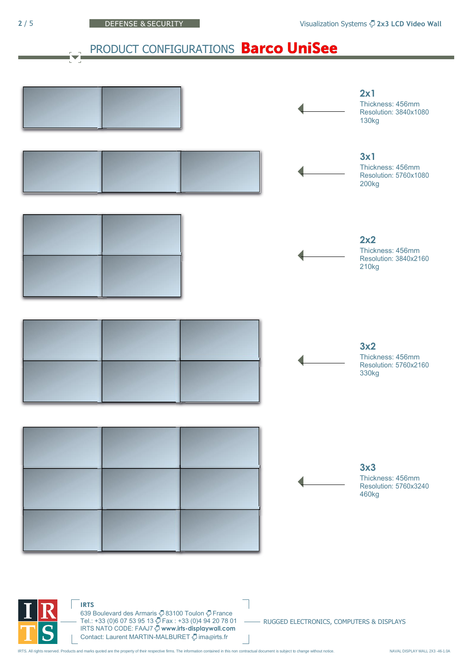# PRODUCT CONFIGURATIONS Barco UniSee



IRTS NATO CODE: FAAJ7 **[www.irts-displaywall.com](http://www.irts-displaywall.com/)** Ò Oontact: Laurent MARTIN-MALBURET  $\bar{\nabla}$  ima@[irts.fr](mailto:ima@irts.fr) IRTS. All rights reserved. Products and marks quoted are the property of their respective firms. The information contained in this non contractual document is subject to change without notice. NAVAL DISPLAY WALL 2X3 -46-1.

Tel.: +33 (0)6 07 53 95 13 Fax : +33 (0)4 94 20 78 01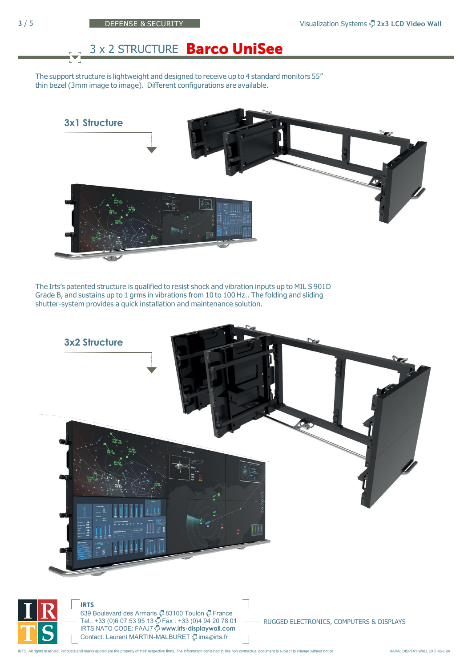# **3 x 2 STRUCTURE Barco UniSee**

The support structure is lightweight and designed to receive up to 4 standard monitors 55'' thin bezel (3mm image to image). Different configurations are available.



The Irts's patented structure is qualified to resist shock and vibration inputs up to MIL S 901D Grade B, and sustains up to 1 grms in vibrations from 10 to 100 Hz.. The folding and sliding shutter-system provides a quick installation and maintenance solution.

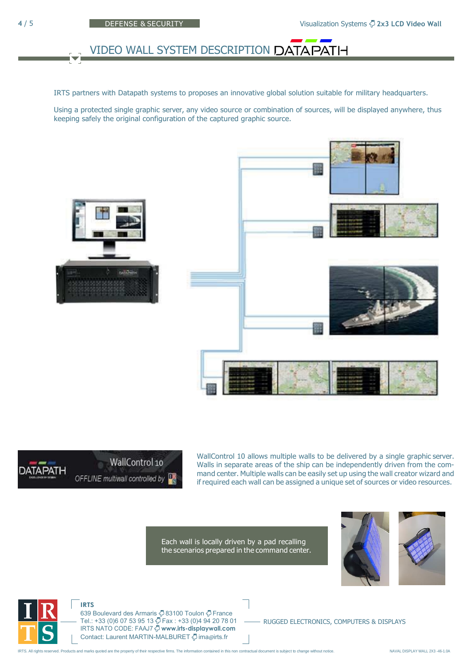# VIDEO WALL SYSTEM DESCRIPTION DATAPATH

IRTS partners with Datapath systems to proposes an innovative global solution suitable for military headquarters.

Using a protected single graphic server, any video source or combination of sources, will be displayed anywhere, thus keeping safely the original configuration of the captured graphic source.





WallControl 10 allows multiple walls to be delivered by a single graphic server. Walls in separate areas of the ship can be independently driven from the command center. Multiple walls can be easily set up using the wall creator wizard and if required each wall can be assigned a unique set of sources or video resources.

Each wall is locally driven by a pad recalling the scenarios prepared in the command center.





**IRTS**

639 Boulevard des Armaris <sup>7</sup>83100 Toulon <sup>7</sup> France Tel.: +33 (0)6 07 53 95 13 Fax : +33 (0)4 94 20 78 01 IRTS NATO CODE: FAAJ7 **[www.irts-displaywall.com](http://www.irts-displaywall.com/)** Contact: Laurent MARTIN-MALBURET  $\ddot{Q}$  ima@[irts.fr](mailto:ima@irts.fr)

RUGGED ELECTRONICS, COMPUTERS & DISPLAYS